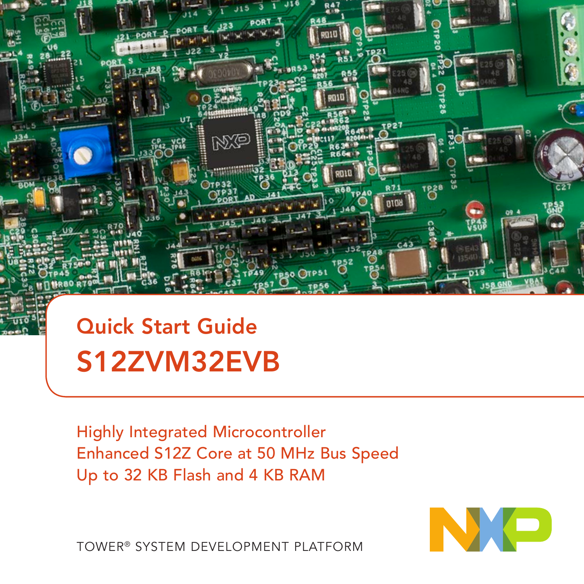

### Quick Start Guide S12ZVM32EVB

Highly Integrated Microcontroller Enhanced S12Z Core at 50 MHz Bus Speed Up to 32 KB Flash and 4 KB RAM



TOWER® SYSTEM DEVELOPMENT PLATFORM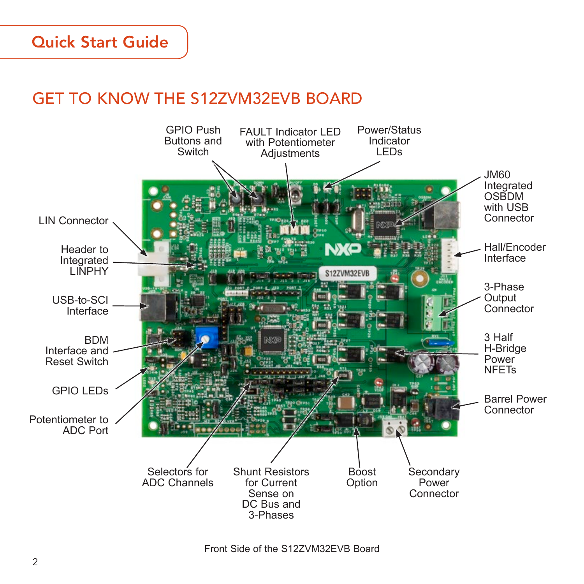#### Quick Start Guide

#### GET TO KNOW THE S12ZVM32EVB BOARD



Front Side of the S12ZVM32EVB Board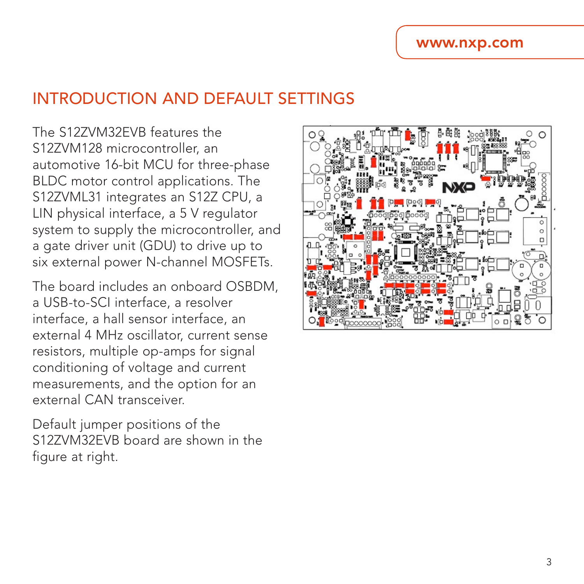#### INTRODUCTION AND DEFAULT SETTINGS

The S12ZVM32EVB features the S12ZVM128 microcontroller, an automotive 16-bit MCU for three-phase BLDC motor control applications. The S12ZVML31 integrates an S12Z CPU, a LIN physical interface, a 5 V regulator system to supply the microcontroller, and a gate driver unit (GDU) to drive up to six external power N-channel MOSFETs.

The board includes an onboard OSBDM, a USB-to-SCI interface, a resolver interface, a hall sensor interface, an external 4 MHz oscillator, current sense resistors, multiple op-amps for signal conditioning of voltage and current measurements, and the option for an external CAN transceiver.

Default jumper positions of the S12ZVM32EVB board are shown in the figure at right.

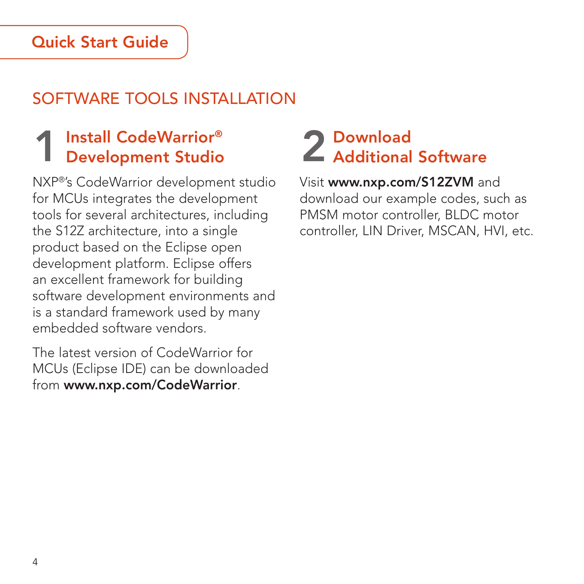#### Quick Start Guide

### SOFTWARE TOOLS INSTALLATION

# 1 Install CodeWarrior® Development Studio

NXP®'s CodeWarrior development studio for MCUs integrates the development tools for several architectures, including the S12Z architecture, into a single product based on the Eclipse open development platform. Eclipse offers an excellent framework for building software development environments and is a standard framework used by many embedded software vendors.

The latest version of CodeWarrior for MCUs (Eclipse IDE) can be downloaded from [www.nxp.com/CodeWarrior](http://www.nxp.com/products/software-and-tools/software-development-tools/codewarrior-development-tools:CW_HOME?tid=vanCODEWARRIOR).

# 2 Download<br>2 Additional Software

Visit www[.nxp.com/S12ZVM](http://www.nxp.com/products/automotive-products/microcontrollers-and-processors/16-bit-s12-magniv/s12zvm-mixed-signal-mcu-for-automotive-industrial-motor-control-applications:S12ZVM?tid=vanS12ZVM) and download our example codes, such as PMSM motor controller, BLDC motor controller, LIN Driver, MSCAN, HVI, etc.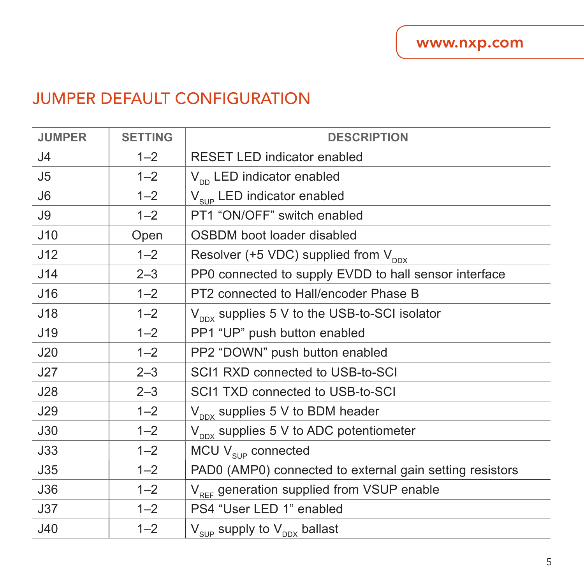#### JUMPER DEFAULT CONFIGURATION

| <b>JUMPER</b>  | <b>SETTING</b> | <b>DESCRIPTION</b>                                       |
|----------------|----------------|----------------------------------------------------------|
| J <sub>4</sub> | $1 - 2$        | <b>RESET LED indicator enabled</b>                       |
| J <sub>5</sub> | $1 - 2$        | $V_{\text{nn}}$ LED indicator enabled                    |
| J <sub>6</sub> | $1 - 2$        | V <sub>sup</sub> LED indicator enabled                   |
| J9             | $1 - 2$        | PT1 "ON/OFF" switch enabled                              |
| J10            | Open           | OSBDM boot loader disabled                               |
| J12            | $1 - 2$        | Resolver (+5 VDC) supplied from $V_{\text{ppx}}$         |
| J14            | $2 - 3$        | PP0 connected to supply EVDD to hall sensor interface    |
| J16            | $1 - 2$        | PT2 connected to Hall/encoder Phase B                    |
| J18            | $1 - 2$        | $V_{\text{max}}$ supplies 5 V to the USB-to-SCI isolator |
| J19            | $1 - 2$        | PP1 "UP" push button enabled                             |
| J20            | $1 - 2$        | PP2 "DOWN" push button enabled                           |
| J27            | $2 - 3$        | SCI1 RXD connected to USB-to-SCI                         |
| J28            | $2 - 3$        | SCI1 TXD connected to USB-to-SCI                         |
| <b>J29</b>     | $1 - 2$        | $V_{\text{nnx}}$ supplies 5 V to BDM header              |
| J30            | $1 - 2$        | $V_{\text{nnx}}$ supplies 5 V to ADC potentiometer       |
| J33            | $1 - 2$        | MCU $V_{\text{sup}}$ connected                           |
| J35            | $1 - 2$        | PAD0 (AMP0) connected to external gain setting resistors |
| J36            | $1 - 2$        | V <sub>RFF</sub> generation supplied from VSUP enable    |
| J37            | $1 - 2$        | PS4 "User LED 1" enabled                                 |
| J40            | $1 - 2$        | $V_{SDP}$ supply to $V_{DDX}$ ballast                    |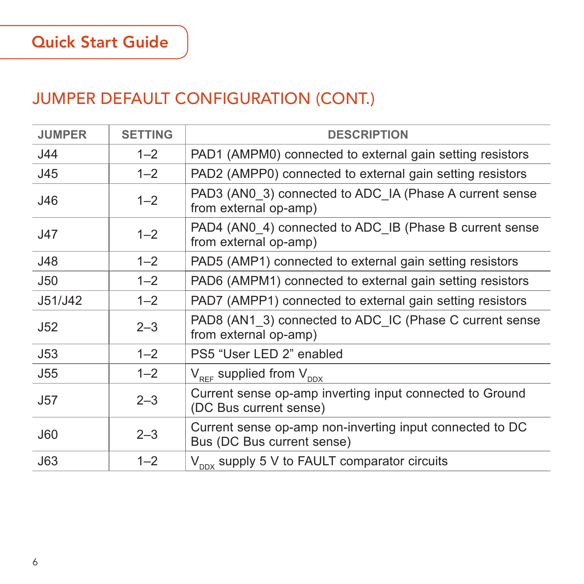#### JUMPER DEFAULT CONFIGURATION (CONT.)

| <b>JUMPER</b> | <b>SETTING</b> | <b>DESCRIPTION</b>                                                                     |
|---------------|----------------|----------------------------------------------------------------------------------------|
| J44           | $1 - 2$        | PAD1 (AMPM0) connected to external gain setting resistors                              |
| J45           | $1 - 2$        | PAD2 (AMPP0) connected to external gain setting resistors                              |
| J46           | $1 - 2$        | PAD3 (AN0 3) connected to ADC IA (Phase A current sense<br>from external op-amp)       |
| J47           | $1 - 2$        | PAD4 (AN0 4) connected to ADC IB (Phase B current sense<br>from external op-amp)       |
| J48           | $1 - 2$        | PAD5 (AMP1) connected to external gain setting resistors                               |
| <b>J50</b>    | $1 - 2$        | PAD6 (AMPM1) connected to external gain setting resistors                              |
| J51/J42       | $1 - 2$        | PAD7 (AMPP1) connected to external gain setting resistors                              |
| J52           | $2 - 3$        | PAD8 (AN1 3) connected to ADC IC (Phase C current sense<br>from external op-amp)       |
| J53           | $1 - 2$        | PS5 "User LED 2" enabled                                                               |
| J55           | $1 - 2$        | $V_{RFF}$ supplied from $V_{DDX}$                                                      |
| <b>J57</b>    | $2 - 3$        | Current sense op-amp inverting input connected to Ground<br>(DC Bus current sense)     |
| <b>J60</b>    | $2 - 3$        | Current sense op-amp non-inverting input connected to DC<br>Bus (DC Bus current sense) |
| J63           | $1 - 2$        | $V_{\text{nov}}$ supply 5 V to FAULT comparator circuits                               |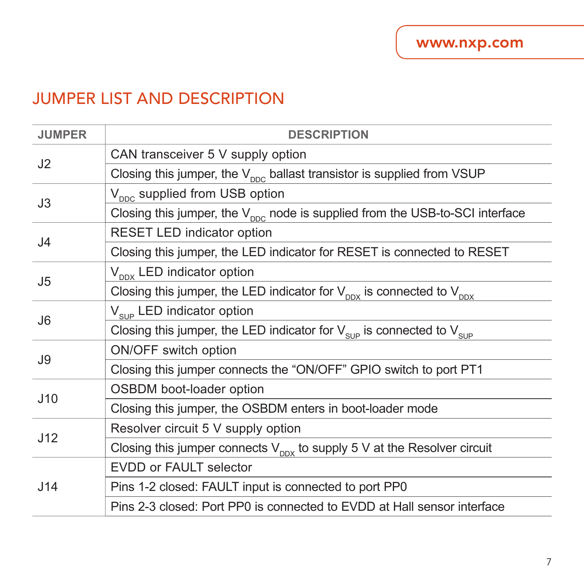#### JUMPER LIST AND DESCRIPTION

| <b>JUMPER</b>  | <b>DESCRIPTION</b>                                                                           |
|----------------|----------------------------------------------------------------------------------------------|
| J2             | CAN transceiver 5 V supply option                                                            |
|                | Closing this jumper, the $V_{\text{pnc}}$ ballast transistor is supplied from VSUP           |
| J3             | $V_{\text{ppc}}$ supplied from USB option                                                    |
|                | Closing this jumper, the V <sub>DDC</sub> node is supplied from the USB-to-SCI interface     |
| J <sub>4</sub> | RESET LED indicator option                                                                   |
|                | Closing this jumper, the LED indicator for RESET is connected to RESET                       |
| J <sub>5</sub> | $V_{\text{nnx}}$ LED indicator option                                                        |
|                | Closing this jumper, the LED indicator for $V_{\text{max}}$ is connected to $V_{\text{max}}$ |
| .16            | V <sub>sup</sub> LED indicator option                                                        |
|                | Closing this jumper, the LED indicator for $V_{\text{sup}}$ is connected to $V_{\text{sup}}$ |
| J9             | ON/OFF switch option                                                                         |
|                | Closing this jumper connects the "ON/OFF" GPIO switch to port PT1                            |
| J10            | OSBDM boot-loader option                                                                     |
|                | Closing this jumper, the OSBDM enters in boot-loader mode                                    |
| J12            | Resolver circuit 5 V supply option                                                           |
|                | Closing this jumper connects $V_{\text{max}}$ to supply 5 V at the Resolver circuit          |
| J14            | EVDD or FAULT selector                                                                       |
|                | Pins 1-2 closed: FAULT input is connected to port PP0                                        |
|                | Pins 2-3 closed: Port PP0 is connected to EVDD at Hall sensor interface                      |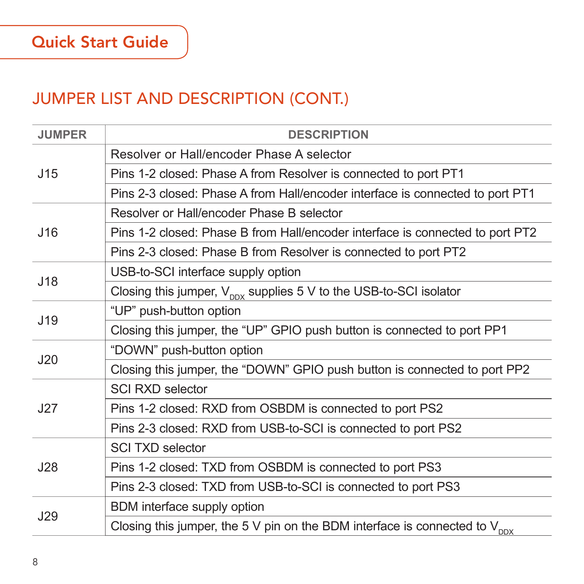| <b>JUMPER</b> | <b>DESCRIPTION</b>                                                                     |
|---------------|----------------------------------------------------------------------------------------|
| J15           | Resolver or Hall/encoder Phase A selector                                              |
|               | Pins 1-2 closed: Phase A from Resolver is connected to port PT1                        |
|               | Pins 2-3 closed: Phase A from Hall/encoder interface is connected to port PT1          |
|               | Resolver or Hall/encoder Phase B selector                                              |
| J16           | Pins 1-2 closed: Phase B from Hall/encoder interface is connected to port PT2          |
|               | Pins 2-3 closed: Phase B from Resolver is connected to port PT2                        |
| J18           | USB-to-SCI interface supply option                                                     |
|               | Closing this jumper, $V_{\text{ppx}}$ supplies 5 V to the USB-to-SCI isolator          |
| J19           | "UP" push-button option                                                                |
|               | Closing this jumper, the "UP" GPIO push button is connected to port PP1                |
| J20           | "DOWN" push-button option                                                              |
|               | Closing this jumper, the "DOWN" GPIO push button is connected to port PP2              |
|               | <b>SCI RXD selector</b>                                                                |
| J27           | Pins 1-2 closed: RXD from OSBDM is connected to port PS2                               |
|               | Pins 2-3 closed: RXD from USB-to-SCI is connected to port PS2                          |
| J28           | <b>SCI TXD selector</b>                                                                |
|               | Pins 1-2 closed: TXD from OSBDM is connected to port PS3                               |
|               | Pins 2-3 closed: TXD from USB-to-SCI is connected to port PS3                          |
| J29           | BDM interface supply option                                                            |
|               | Closing this jumper, the 5 V pin on the BDM interface is connected to $V_{\text{DDX}}$ |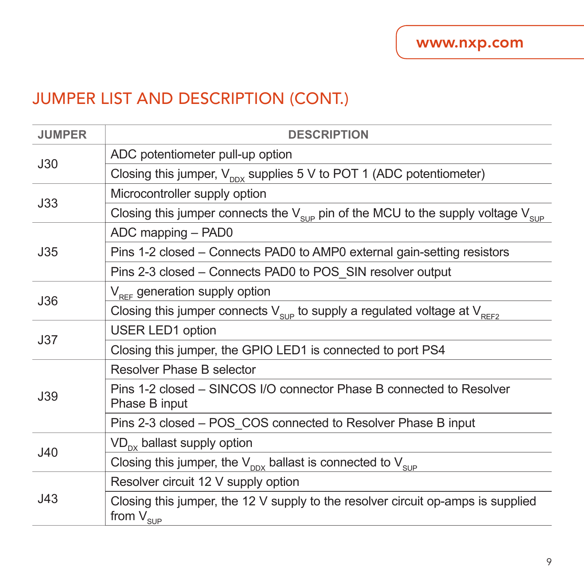| <b>JUMPER</b> | <b>DESCRIPTION</b>                                                                                      |
|---------------|---------------------------------------------------------------------------------------------------------|
| J30           | ADC potentiometer pull-up option                                                                        |
|               | Closing this jumper, $V_{\text{env}}$ supplies 5 V to POT 1 (ADC potentiometer)                         |
| J33           | Microcontroller supply option                                                                           |
|               | Closing this jumper connects the $V_{\text{sup}}$ pin of the MCU to the supply voltage $V_{\text{sup}}$ |
|               | ADC mapping - PAD0                                                                                      |
| J35           | Pins 1-2 closed – Connects PAD0 to AMP0 external gain-setting resistors                                 |
|               | Pins 2-3 closed – Connects PAD0 to POS SIN resolver output                                              |
| <b>J36</b>    | V <sub>pee</sub> generation supply option                                                               |
|               | Closing this jumper connects $V_{\text{sup}}$ to supply a regulated voltage at $V_{\text{REF2}}$        |
| J37           | <b>USER LED1 option</b>                                                                                 |
|               | Closing this jumper, the GPIO LED1 is connected to port PS4                                             |
|               | Resolver Phase B selector                                                                               |
| J39           | Pins 1-2 closed - SINCOS I/O connector Phase B connected to Resolver<br>Phase B input                   |
|               | Pins 2-3 closed - POS COS connected to Resolver Phase B input                                           |
| J40           | $VD_{\text{px}}$ ballast supply option                                                                  |
|               | Closing this jumper, the $V_{\text{DDX}}$ ballast is connected to $V_{\text{SUP}}$                      |
| J43           | Resolver circuit 12 V supply option                                                                     |
|               | Closing this jumper, the 12 V supply to the resolver circuit op-amps is supplied<br>from $V_{SUP}$      |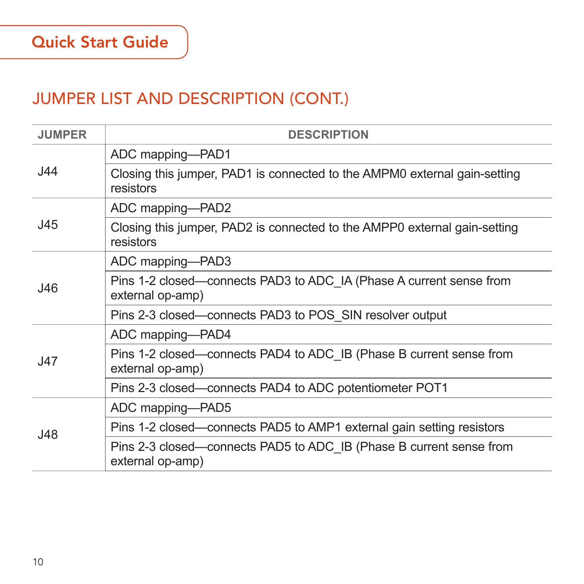| <b>JUMPER</b> | <b>DESCRIPTION</b>                                                                      |
|---------------|-----------------------------------------------------------------------------------------|
| J44           | ADC mapping-PAD1                                                                        |
|               | Closing this jumper, PAD1 is connected to the AMPM0 external gain-setting<br>resistors  |
| J45           | ADC mapping-PAD2                                                                        |
|               | Closing this jumper, PAD2 is connected to the AMPP0 external gain-setting<br>resistors  |
| J46           | ADC mapping-PAD3                                                                        |
|               | Pins 1-2 closed—connects PAD3 to ADC IA (Phase A current sense from<br>external op-amp) |
|               | Pins 2-3 closed—connects PAD3 to POS SIN resolver output                                |
|               | ADC mapping-PAD4                                                                        |
| J47           | Pins 1-2 closed—connects PAD4 to ADC IB (Phase B current sense from<br>external op-amp) |
|               | Pins 2-3 closed-connects PAD4 to ADC potentiometer POT1                                 |
| J48           | ADC mapping-PAD5                                                                        |
|               | Pins 1-2 closed—connects PAD5 to AMP1 external gain setting resistors                   |
|               | Pins 2-3 closed—connects PAD5 to ADC IB (Phase B current sense from<br>external op-amp) |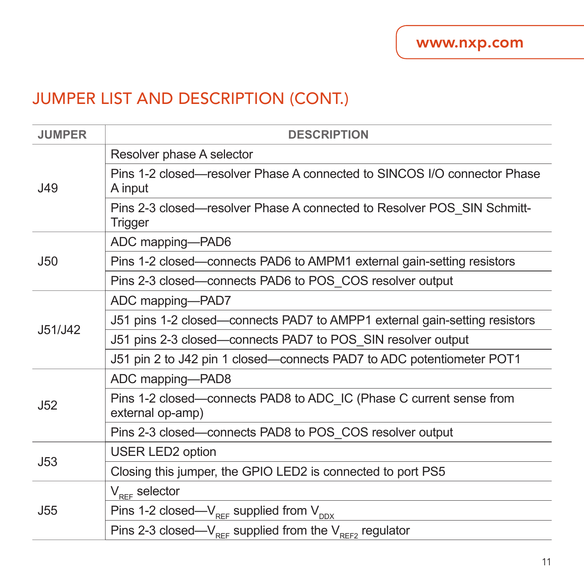| <b>JUMPER</b>   | <b>DESCRIPTION</b>                                                                      |
|-----------------|-----------------------------------------------------------------------------------------|
| J49             | Resolver phase A selector                                                               |
|                 | Pins 1-2 closed—resolver Phase A connected to SINCOS I/O connector Phase<br>A input     |
|                 | Pins 2-3 closed—resolver Phase A connected to Resolver POS SIN Schmitt-<br>Trigger      |
|                 | ADC mapping-PAD6                                                                        |
| J50             | Pins 1-2 closed—connects PAD6 to AMPM1 external gain-setting resistors                  |
|                 | Pins 2-3 closed—connects PAD6 to POS COS resolver output                                |
|                 | ADC mapping-PAD7                                                                        |
| J51/J42         | J51 pins 1-2 closed—connects PAD7 to AMPP1 external gain-setting resistors              |
|                 | J51 pins 2-3 closed—connects PAD7 to POS SIN resolver output                            |
|                 | J51 pin 2 to J42 pin 1 closed—connects PAD7 to ADC potentiometer POT1                   |
|                 | ADC mapping-PAD8                                                                        |
| J52             | Pins 1-2 closed—connects PAD8 to ADC IC (Phase C current sense from<br>external op-amp) |
|                 | Pins 2-3 closed—connects PAD8 to POS COS resolver output                                |
| J53             | <b>USER LED2 option</b>                                                                 |
|                 | Closing this jumper, the GPIO LED2 is connected to port PS5                             |
| J <sub>55</sub> | $V_{\text{ref}}$ selector                                                               |
|                 | Pins 1-2 closed— $V_{REF}$ supplied from $V_{DDX}$                                      |
|                 | Pins 2-3 closed— $V_{REF}$ supplied from the $V_{REF2}$ regulator                       |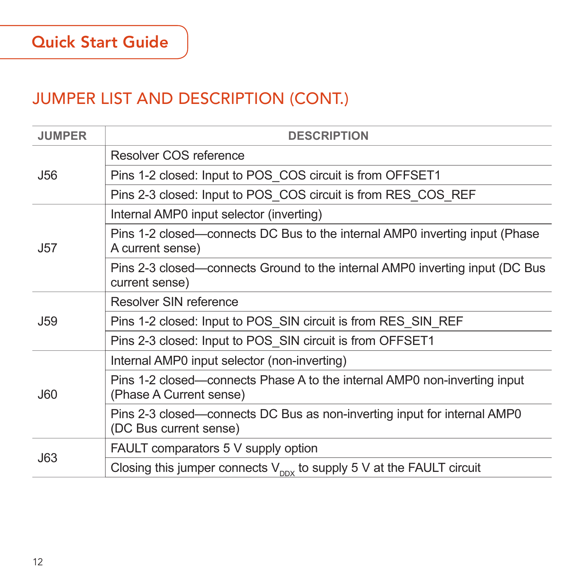| <b>JUMPER</b> | <b>DESCRIPTION</b>                                                                                   |
|---------------|------------------------------------------------------------------------------------------------------|
| <b>J56</b>    | Resolver COS reference                                                                               |
|               | Pins 1-2 closed: Input to POS_COS circuit is from OFFSET1                                            |
|               | Pins 2-3 closed: Input to POS COS circuit is from RES COS REF                                        |
| J57           | Internal AMP0 input selector (inverting)                                                             |
|               | Pins 1-2 closed—connects DC Bus to the internal AMP0 inverting input (Phase<br>A current sense)      |
|               | Pins 2-3 closed—connects Ground to the internal AMP0 inverting input (DC Bus<br>current sense)       |
|               | Resolver SIN reference                                                                               |
| J59           | Pins 1-2 closed: Input to POS SIN circuit is from RES SIN REF                                        |
|               | Pins 2-3 closed: Input to POS SIN circuit is from OFFSET1                                            |
| <b>J60</b>    | Internal AMP0 input selector (non-inverting)                                                         |
|               | Pins 1-2 closed—connects Phase A to the internal AMP0 non-inverting input<br>(Phase A Current sense) |
|               | Pins 2-3 closed—connects DC Bus as non-inverting input for internal AMP0<br>(DC Bus current sense)   |
| <b>J63</b>    | FAULT comparators 5 V supply option                                                                  |
|               | Closing this jumper connects $V_{\text{DDX}}$ to supply 5 V at the FAULT circuit                     |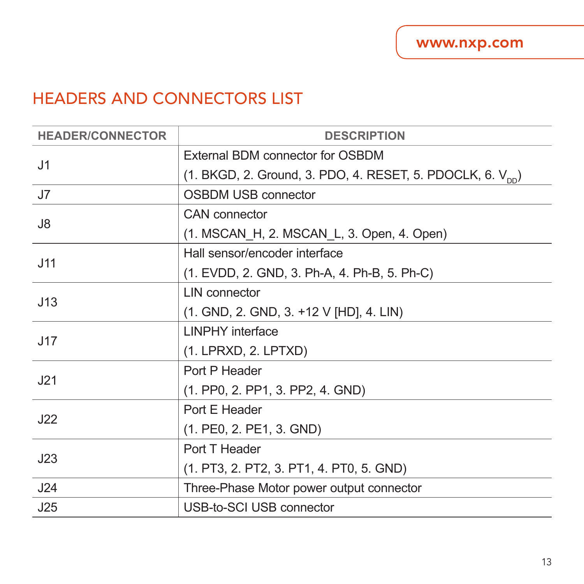#### HEADERS AND CONNECTORS LIST

| <b>HEADER/CONNECTOR</b> | <b>DESCRIPTION</b>                                                     |
|-------------------------|------------------------------------------------------------------------|
| J <sub>1</sub>          | External BDM connector for OSBDM                                       |
|                         | (1. BKGD, 2. Ground, 3. PDO, 4. RESET, 5. PDOCLK, 6. V <sub>nn</sub> ) |
| J7                      | <b>OSBDM USB connector</b>                                             |
| J8                      | CAN connector                                                          |
|                         | (1. MSCAN _H, 2. MSCAN _L, 3. Open, 4. Open)                           |
| J11                     | Hall sensor/encoder interface                                          |
|                         | (1. EVDD, 2. GND, 3. Ph-A, 4. Ph-B, 5. Ph-C)                           |
|                         | <b>I IN connector</b>                                                  |
| J13                     | (1. GND, 2. GND, 3. +12 V [HD], 4. LIN)                                |
| J17                     | <b>LINPHY</b> interface                                                |
|                         | (1. LPRXD, 2. LPTXD)                                                   |
| .121                    | Port P Header                                                          |
|                         | (1. PP0, 2. PP1, 3. PP2, 4. GND)                                       |
| J22                     | Port E Header                                                          |
|                         | (1. PE0, 2. PE1, 3. GND)                                               |
| J23                     | Port T Header                                                          |
|                         | (1. PT3, 2. PT2, 3. PT1, 4. PT0, 5. GND)                               |
| J24                     | Three-Phase Motor power output connector                               |
| J25                     | USB-to-SCI USB connector                                               |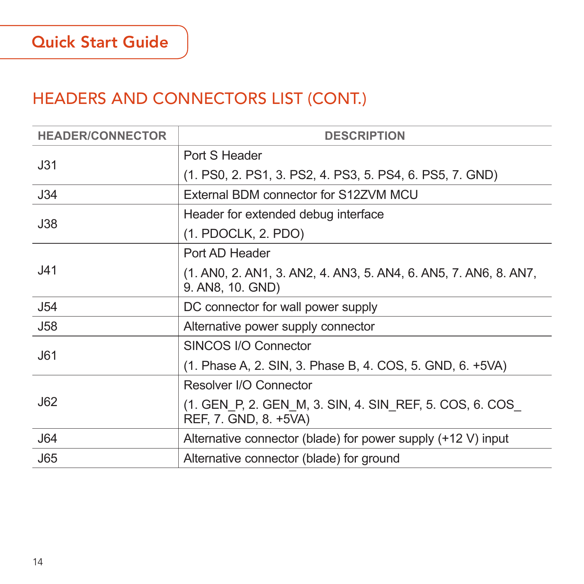#### HEADERS AND CONNECTORS LIST (CONT.)

| <b>HEADER/CONNECTOR</b> | <b>DESCRIPTION</b>                                                                   |
|-------------------------|--------------------------------------------------------------------------------------|
| J31                     | Port S Header                                                                        |
|                         | (1. PS0, 2. PS1, 3. PS2, 4. PS3, 5. PS4, 6. PS5, 7. GND)                             |
| J34                     | External BDM connector for S12ZVM MCU                                                |
| J38                     | Header for extended debug interface                                                  |
|                         | (1. PDOCLK, 2. PDO)                                                                  |
|                         | Port AD Header                                                                       |
| J41                     | (1. ANO, 2. AN1, 3. AN2, 4. AN3, 5. AN4, 6. AN5, 7. AN6, 8. AN7,<br>9. AN8, 10. GND) |
| J54                     | DC connector for wall power supply                                                   |
| <b>J58</b>              | Alternative power supply connector                                                   |
| J61                     | SINCOS I/O Connector                                                                 |
|                         | (1. Phase A, 2. SIN, 3. Phase B, 4. COS, 5. GND, 6. +5VA)                            |
|                         | Resolver I/O Connector                                                               |
| J62                     | (1. GEN P. 2. GEN M. 3. SIN, 4. SIN REF, 5. COS, 6. COS<br>REF, 7. GND, 8. +5VA)     |
| J64                     | Alternative connector (blade) for power supply (+12 V) input                         |
| J65                     | Alternative connector (blade) for ground                                             |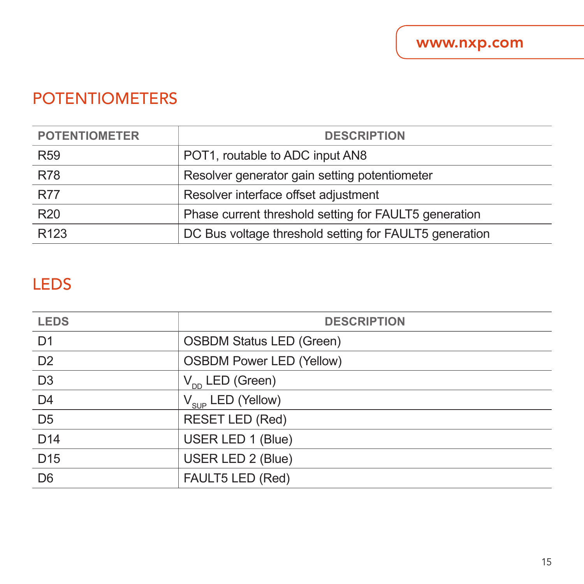#### POTENTIOMETERS

| <b>POTENTIOMETER</b> | <b>DESCRIPTION</b>                                     |
|----------------------|--------------------------------------------------------|
| <b>R59</b>           | POT1, routable to ADC input AN8                        |
| <b>R78</b>           | Resolver generator gain setting potentiometer          |
| <b>R77</b>           | Resolver interface offset adjustment                   |
| R <sub>20</sub>      | Phase current threshold setting for FAULT5 generation  |
| R <sub>123</sub>     | DC Bus voltage threshold setting for FAULT5 generation |

#### LEDS

| <b>LEDS</b>     | <b>DESCRIPTION</b>              |
|-----------------|---------------------------------|
| D <sub>1</sub>  | OSBDM Status LED (Green)        |
| D <sub>2</sub>  | <b>OSBDM Power LED (Yellow)</b> |
| $\overline{D3}$ | $V_{DD}$ LED (Green)            |
| D <sub>4</sub>  | $V_{_{SUP}}$ LED (Yellow)       |
| D <sub>5</sub>  | <b>RESET LED (Red)</b>          |
| D14             | USER LED 1 (Blue)               |
| D <sub>15</sub> | USER LED 2 (Blue)               |
| D <sub>6</sub>  | FAULT5 LED (Red)                |